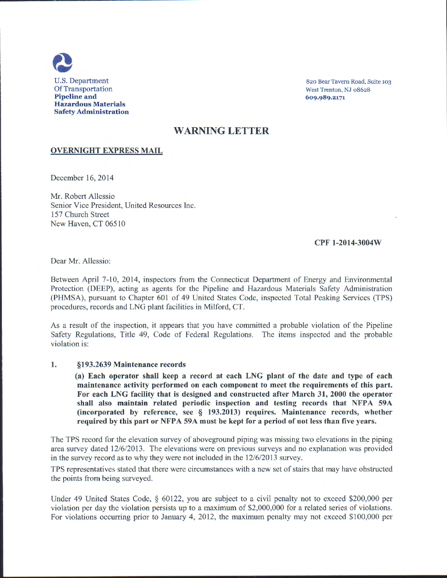

820 Bear Tavern Road, Suite 103 West Trenton, NJ 08628 609.989.2171

## WARNING LETTER

## OVERNIGHT EXPRESS MAIL

December 16, 2014

Mr. Robert Allessio Senior Vice President, United Resources Inc. 157 Church Street New Haven, CT 06510

## CPF 1-2014-3004W

Dear Mr. Allessio:

Between April 7-10, 2014, inspectors from the Connecticut Department of Energy and Environmental Protection (DEEP), acting as agents for the Pipeline and Hazardous Materials Safety Administration (PHMSA), pursuant to Chapter 601 of 49 United States Code, inspected Total Peaking Services (TPS) procedures, records and LNG plant facilities in Milford, CT.

As a result of the inspection, it appears that you have committed a probable violation of the Pipeline Safety Regulations, Title 49, Code of Federal Regulations. The items inspected and the probable violation is:

## 1. §193.2639 Maintenance records

(a) Each operator shall keep a record at each LNG plant of the date and type of each maintenance activity performed on each component to meet the requirements of this part. For each LNG facility that is designed and constructed after March 31, 2000 the operator shall also maintain related periodic inspection and testing records that NFPA 59A (incorporated by reference, see § 193.2013) requires. Maintenance records, whether required by this part or NFPA 59A must be kept for a period of not less than five years.

The IPS record for the elevation survey of aboveground piping was missing two elevations in the piping area survey dated 12/6/2013. The elevations were on previous surveys and no explanation was provided in the survey record as to why they were not included in the 12/6/2013 survey.

TPS representatives stated that there were circumstances with a new set of stairs that may have obstructed the points from being surveyed.

Under 49 United States Code, § 60122, you are subject to a civil penalty not to exceed \$200,000 per violation per day the violation persists up to a maximum of \$2,000,000 for a related series of violations. For violations occurring prior to January 4, 2012, the maximum penalty may not exceed \$100,000 per